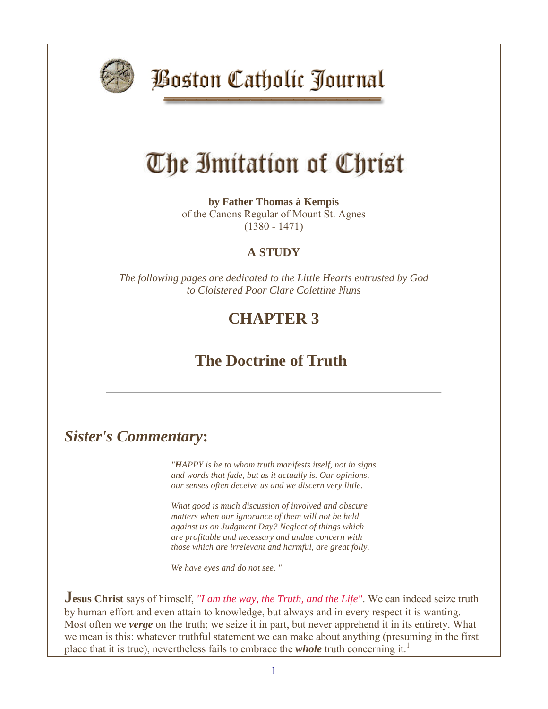

**Boston Catholic Journal** 

# The Imitation of Christ

**by Father Thomas à Kempis** of the Canons Regular of Mount St. Agnes (1380 - 1471)

#### **A STUDY**

*The following pages are dedicated to the Little Hearts entrusted by God to Cloistered Poor Clare Colettine Nuns*

### **CHAPTER 3**

## **The Doctrine of Truth**

#### *Sister's Commentary***:**

*"HAPPY is he to whom truth manifests itself, not in signs and words that fade, but as it actually is. Our opinions, our senses often deceive us and we discern very little.*

*What good is much discussion of involved and obscure matters when our ignorance of them will not be held against us on Judgment Day? Neglect of things which are profitable and necessary and undue concern with those which are irrelevant and harmful, are great folly.*

*We have eyes and do not see. "*

**Jesus Christ** says of himself, *"I am the way, the Truth, and the Life"*. We can indeed seize truth by human effort and even attain to knowledge, but always and in every respect it is wanting. Most often we *verge* on the truth; we seize it in part, but never apprehend it in its entirety. What we mean is this: whatever truthful statement we can make about anything (presuming in the first place that it is true), nevertheless fails to embrace the *whole* truth concerning it.<sup>1</sup>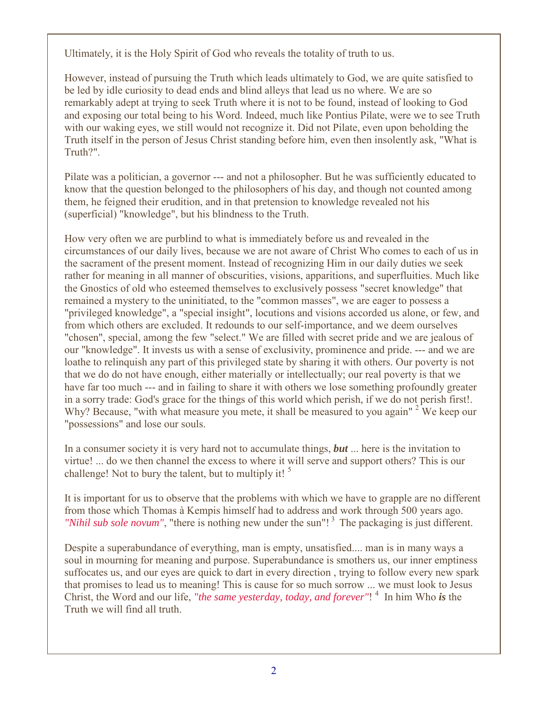Ultimately, it is the Holy Spirit of God who reveals the totality of truth to us.

However, instead of pursuing the Truth which leads ultimately to God, we are quite satisfied to be led by idle curiosity to dead ends and blind alleys that lead us no where. We are so remarkably adept at trying to seek Truth where it is not to be found, instead of looking to God and exposing our total being to his Word. Indeed, much like Pontius Pilate, were we to see Truth with our waking eyes, we still would not recognize it. Did not Pilate, even upon beholding the Truth itself in the person of Jesus Christ standing before him, even then insolently ask, "What is Truth?".

Pilate was a politician, a governor --- and not a philosopher. But he was sufficiently educated to know that the question belonged to the philosophers of his day, and though not counted among them, he feigned their erudition, and in that pretension to knowledge revealed not his (superficial) "knowledge", but his blindness to the Truth.

How very often we are purblind to what is immediately before us and revealed in the circumstances of our daily lives, because we are not aware of Christ Who comes to each of us in the sacrament of the present moment. Instead of recognizing Him in our daily duties we seek rather for meaning in all manner of obscurities, visions, apparitions, and superfluities. Much like the Gnostics of old who esteemed themselves to exclusively possess "secret knowledge" that remained a mystery to the uninitiated, to the "common masses", we are eager to possess a "privileged knowledge", a "special insight", locutions and visions accorded us alone, or few, and from which others are excluded. It redounds to our self-importance, and we deem ourselves "chosen", special, among the few "select." We are filled with secret pride and we are jealous of our "knowledge". It invests us with a sense of exclusivity, prominence and pride. --- and we are loathe to relinquish any part of this privileged state by sharing it with others. Our poverty is not that we do do not have enough, either materially or intellectually; our real poverty is that we have far too much --- and in failing to share it with others we lose something profoundly greater in a sorry trade: God's grace for the things of this world which perish, if we do not perish first!. Why? Because, "with what measure you mete, it shall be measured to you again" <sup>2</sup> We keep our "possessions" and lose our souls.

In a consumer society it is very hard not to accumulate things, *but* ... here is the invitation to virtue! ... do we then channel the excess to where it will serve and support others? This is our challenge! Not to bury the talent, but to multiply it!  $5$ 

It is important for us to observe that the problems with which we have to grapple are no different from those which Thomas à Kempis himself had to address and work through 500 years ago. *"Nihil sub sole novum"*, "there is nothing new under the sun"! <sup>3</sup> The packaging is just different.

Despite a superabundance of everything, man is empty, unsatisfied.... man is in many ways a soul in mourning for meaning and purpose. Superabundance is smothers us, our inner emptiness suffocates us, and our eyes are quick to dart in every direction , trying to follow every new spark that promises to lead us to meaning! This is cause for so much sorrow ... we must look to Jesus Christ, the Word and our life, *"the same yesterday, today, and forever"*! 4 In him Who *is* the Truth we will find all truth.